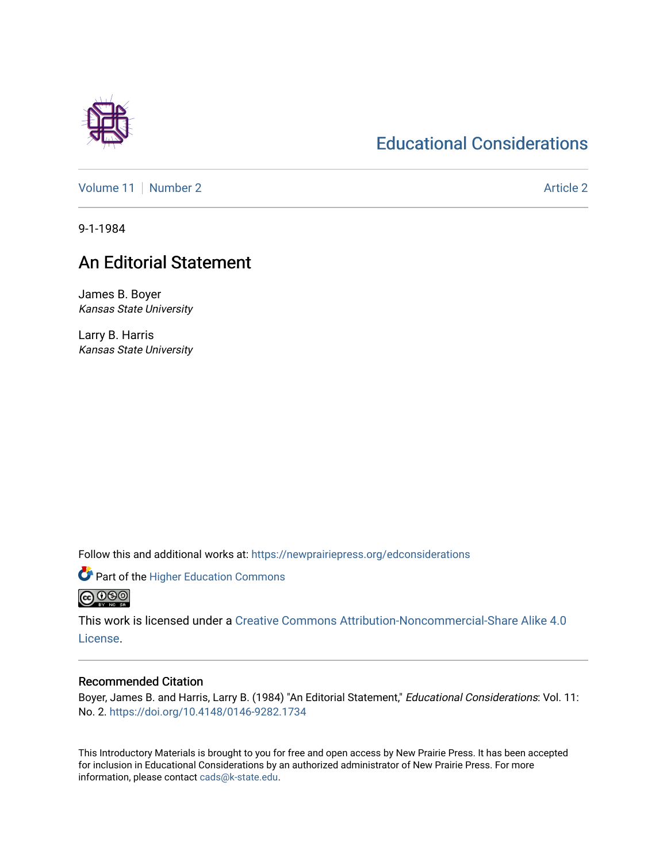## [Educational Considerations](https://newprairiepress.org/edconsiderations)

[Volume 11](https://newprairiepress.org/edconsiderations/vol11) [Number 2](https://newprairiepress.org/edconsiderations/vol11/iss2) Article 2

9-1-1984

## An Editorial Statement

James B. Boyer Kansas State University

Larry B. Harris Kansas State University

Follow this and additional works at: [https://newprairiepress.org/edconsiderations](https://newprairiepress.org/edconsiderations?utm_source=newprairiepress.org%2Fedconsiderations%2Fvol11%2Fiss2%2F2&utm_medium=PDF&utm_campaign=PDFCoverPages) 

Part of the [Higher Education Commons](http://network.bepress.com/hgg/discipline/1245?utm_source=newprairiepress.org%2Fedconsiderations%2Fvol11%2Fiss2%2F2&utm_medium=PDF&utm_campaign=PDFCoverPages)  <u> @ ලෙම</u>

This work is licensed under a [Creative Commons Attribution-Noncommercial-Share Alike 4.0](https://creativecommons.org/licenses/by-nc-sa/4.0/) [License.](https://creativecommons.org/licenses/by-nc-sa/4.0/)

## Recommended Citation

Boyer, James B. and Harris, Larry B. (1984) "An Editorial Statement," Educational Considerations: Vol. 11: No. 2. <https://doi.org/10.4148/0146-9282.1734>

This Introductory Materials is brought to you for free and open access by New Prairie Press. It has been accepted for inclusion in Educational Considerations by an authorized administrator of New Prairie Press. For more information, please contact [cads@k-state.edu](mailto:cads@k-state.edu).